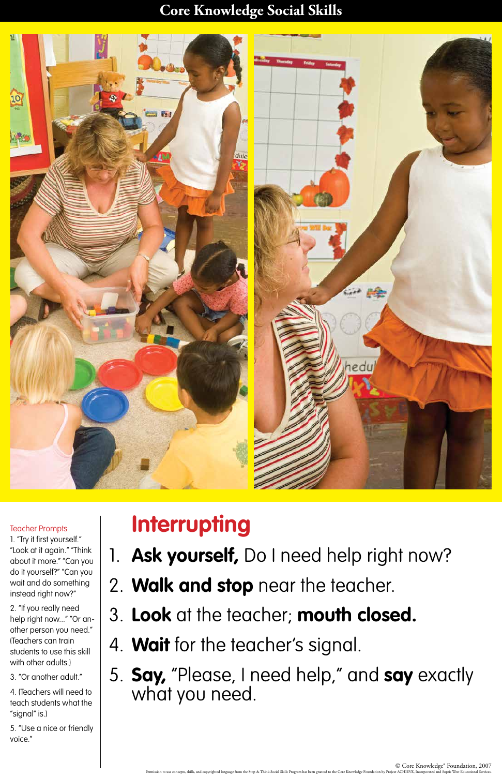#### **Core Knowledge Social Skills**



## **Interrupting**

1. **Ask yourself,** Do I need help right now?

2. "If you really need help right now..." "Or another person you need." (Teachers can train students to use this skill with other adults.)

# 2. **Walk and stop** near the teacher.

- 3. **Look** at the teacher; **mouth closed.**
- 4. **Wait** for the teacher's signal.
- 5. **Say,** "Please, I need help," and **say** exactly what you need.

#### Teacher Prompts

1. "Try it first yourself." "Look at it again." "Think about it more." "Can you do it yourself?" "Can you wait and do something instead right now?"

3. "Or another adult."

4. (Teachers will need to teach students what the "signal" is.)

5. "Use a nice or friendly voice."